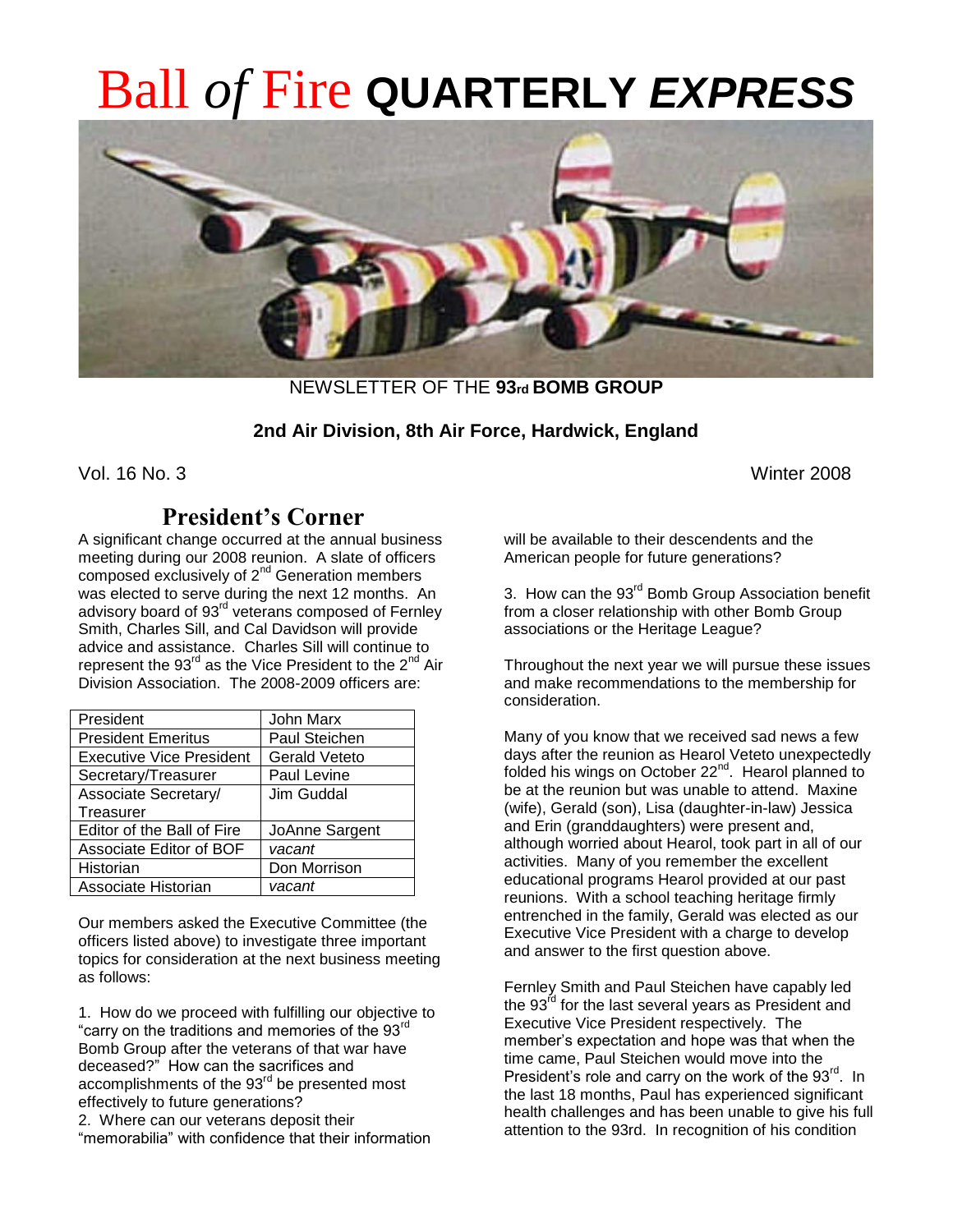# Ball *of* Fire **QUARTERLY** *EXPRESS*



NEWSLETTER OF THE **93rd BOMB GROUP**

# **2nd Air Division, 8th Air Force, Hardwick, England**

Vol. 16 No. 3 Winter 2008

# **President's Corner**

A significant change occurred at the annual business meeting during our 2008 reunion. A slate of officers composed exclusively of 2<sup>nd</sup> Generation members was elected to serve during the next 12 months. An advisory board of 93<sup>rd</sup> veterans composed of Fernley Smith, Charles Sill, and Cal Davidson will provide advice and assistance. Charles Sill will continue to represent the 93<sup>rd</sup> as the Vice President to the 2<sup>nd</sup> Air Division Association. The 2008-2009 officers are:

| President                       | John Marx            |
|---------------------------------|----------------------|
| <b>President Emeritus</b>       | <b>Paul Steichen</b> |
| <b>Executive Vice President</b> | <b>Gerald Veteto</b> |
| Secretary/Treasurer             | Paul Levine          |
| Associate Secretary/            | Jim Guddal           |
| Treasurer                       |                      |
| Editor of the Ball of Fire      | JoAnne Sargent       |
| Associate Editor of BOF         | vacant               |
| Historian                       | Don Morrison         |
| Associate Historian             | vacant               |

Our members asked the Executive Committee (the officers listed above) to investigate three important topics for consideration at the next business meeting as follows:

1. How do we proceed with fulfilling our objective to "carry on the traditions and memories of the 93<sup>rd</sup> Bomb Group after the veterans of that war have deceased?" How can the sacrifices and accomplishments of the 93<sup>rd</sup> be presented most effectively to future generations? 2. Where can our veterans deposit their

"memorabilia" with confidence that their information

will be available to their descendents and the American people for future generations?

3. How can the 93<sup>rd</sup> Bomb Group Association benefit from a closer relationship with other Bomb Group associations or the Heritage League?

Throughout the next year we will pursue these issues and make recommendations to the membership for consideration.

Many of you know that we received sad news a few days after the reunion as Hearol Veteto unexpectedly folded his wings on October 22<sup>nd</sup>. Hearol planned to be at the reunion but was unable to attend. Maxine (wife), Gerald (son), Lisa (daughter-in-law) Jessica and Erin (granddaughters) were present and, although worried about Hearol, took part in all of our activities. Many of you remember the excellent educational programs Hearol provided at our past reunions. With a school teaching heritage firmly entrenched in the family, Gerald was elected as our Executive Vice President with a charge to develop and answer to the first question above.

Fernley Smith and Paul Steichen have capably led the  $93<sup>rd</sup>$  for the last several years as President and Executive Vice President respectively. The member's expectation and hope was that when the time came, Paul Steichen would move into the President's role and carry on the work of the 93<sup>rd</sup>. In the last 18 months, Paul has experienced significant health challenges and has been unable to give his full attention to the 93rd. In recognition of his condition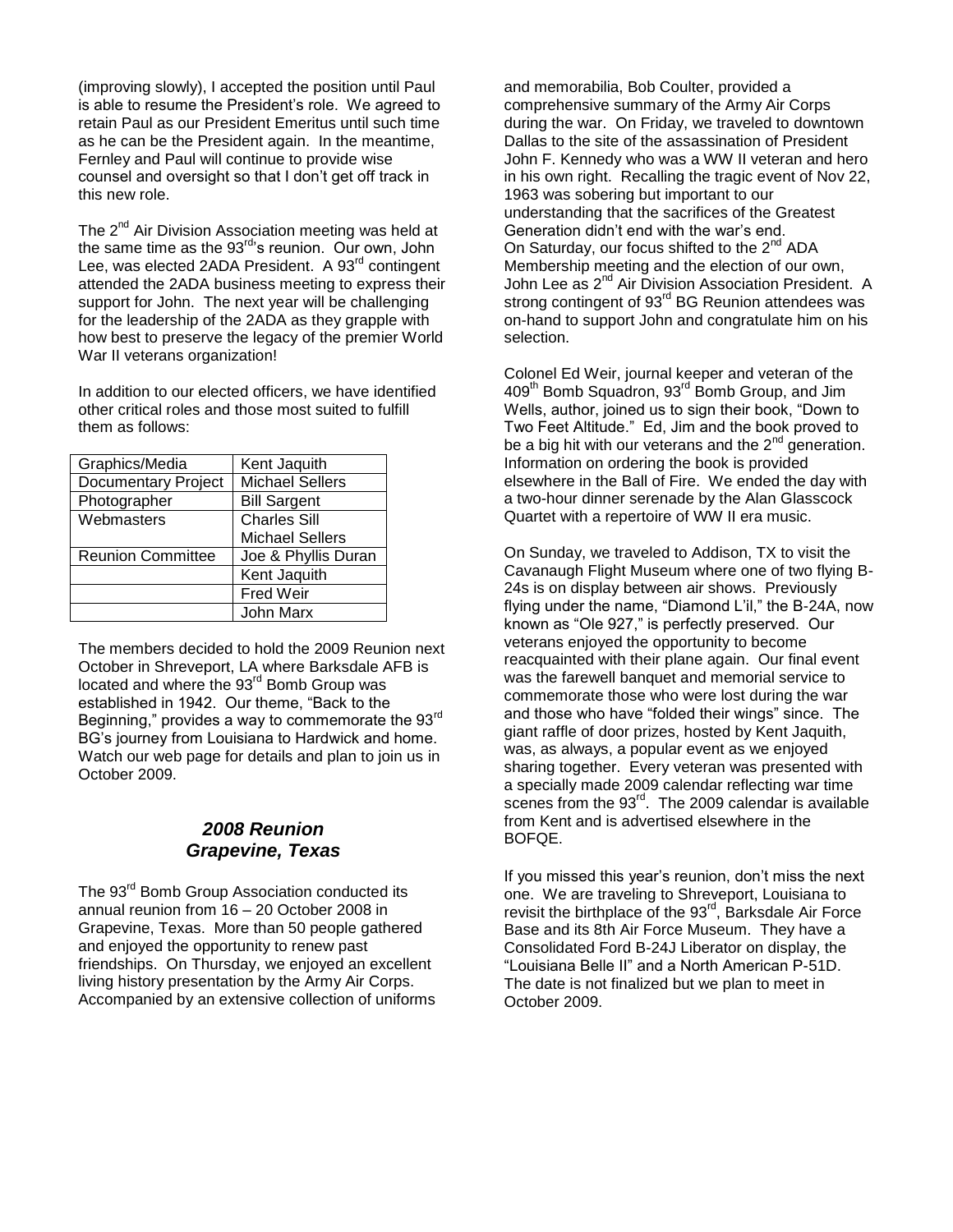(improving slowly), I accepted the position until Paul is able to resume the President's role. We agreed to retain Paul as our President Emeritus until such time as he can be the President again. In the meantime, Fernley and Paul will continue to provide wise counsel and oversight so that I don't get off track in this new role.

The  $2^{nd}$  Air Division Association meeting was held at the same time as the  $93<sup>rd</sup>$ s reunion. Our own, John Lee, was elected 2ADA President. A 93<sup>rd</sup> contingent attended the 2ADA business meeting to express their support for John. The next year will be challenging for the leadership of the 2ADA as they grapple with how best to preserve the legacy of the premier World War II veterans organization!

In addition to our elected officers, we have identified other critical roles and those most suited to fulfill them as follows:

| Graphics/Media           | Kent Jaquith           |  |
|--------------------------|------------------------|--|
| Documentary Project      | <b>Michael Sellers</b> |  |
| Photographer             | <b>Bill Sargent</b>    |  |
| Webmasters               | <b>Charles Sill</b>    |  |
|                          | <b>Michael Sellers</b> |  |
| <b>Reunion Committee</b> | Joe & Phyllis Duran    |  |
|                          | Kent Jaquith           |  |
|                          | <b>Fred Weir</b>       |  |
|                          | John Marx              |  |

The members decided to hold the 2009 Reunion next October in Shreveport, LA where Barksdale AFB is located and where the 93<sup>rd</sup> Bomb Group was established in 1942. Our theme, "Back to the Beginning," provides a way to commemorate the 93rd BG's journey from Louisiana to Hardwick and home. Watch our web page for details and plan to join us in October 2009.

## *2008 Reunion Grapevine, Texas*

The 93<sup>rd</sup> Bomb Group Association conducted its annual reunion from 16 – 20 October 2008 in Grapevine, Texas. More than 50 people gathered and enjoyed the opportunity to renew past friendships. On Thursday, we enjoyed an excellent living history presentation by the Army Air Corps. Accompanied by an extensive collection of uniforms and memorabilia, Bob Coulter, provided a comprehensive summary of the Army Air Corps during the war. On Friday, we traveled to downtown Dallas to the site of the assassination of President John F. Kennedy who was a WW II veteran and hero in his own right. Recalling the tragic event of Nov 22, 1963 was sobering but important to our understanding that the sacrifices of the Greatest Generation didn't end with the war's end. On Saturday, our focus shifted to the  $2^{nd}$  ADA Membership meeting and the election of our own, John Lee as 2<sup>nd</sup> Air Division Association President. A strong contingent of 93<sup>rd</sup> BG Reunion attendees was on-hand to support John and congratulate him on his selection.

Colonel Ed Weir, journal keeper and veteran of the 409<sup>th</sup> Bomb Squadron, 93<sup>rd</sup> Bomb Group, and Jim Wells, author, joined us to sign their book, "Down to Two Feet Altitude." Ed, Jim and the book proved to be a big hit with our veterans and the  $2^{nd}$  generation. Information on ordering the book is provided elsewhere in the Ball of Fire. We ended the day with a two-hour dinner serenade by the Alan Glasscock Quartet with a repertoire of WW II era music.

On Sunday, we traveled to Addison, TX to visit the Cavanaugh Flight Museum where one of two flying B-24s is on display between air shows. Previously flying under the name, "Diamond L'il," the B-24A, now known as "Ole 927," is perfectly preserved. Our veterans enjoyed the opportunity to become reacquainted with their plane again. Our final event was the farewell banquet and memorial service to commemorate those who were lost during the war and those who have "folded their wings" since. The giant raffle of door prizes, hosted by Kent Jaquith, was, as always, a popular event as we enjoyed sharing together. Every veteran was presented with a specially made 2009 calendar reflecting war time scenes from the  $93<sup>rd</sup>$ . The 2009 calendar is available from Kent and is advertised elsewhere in the BOFQE.

If you missed this year's reunion, don't miss the next one. We are traveling to Shreveport, Louisiana to revisit the birthplace of the 93<sup>rd</sup>, Barksdale Air Force Base and its 8th Air Force Museum. They have a Consolidated Ford B-24J Liberator on display, the "Louisiana Belle II" and a North American P-51D. The date is not finalized but we plan to meet in October 2009.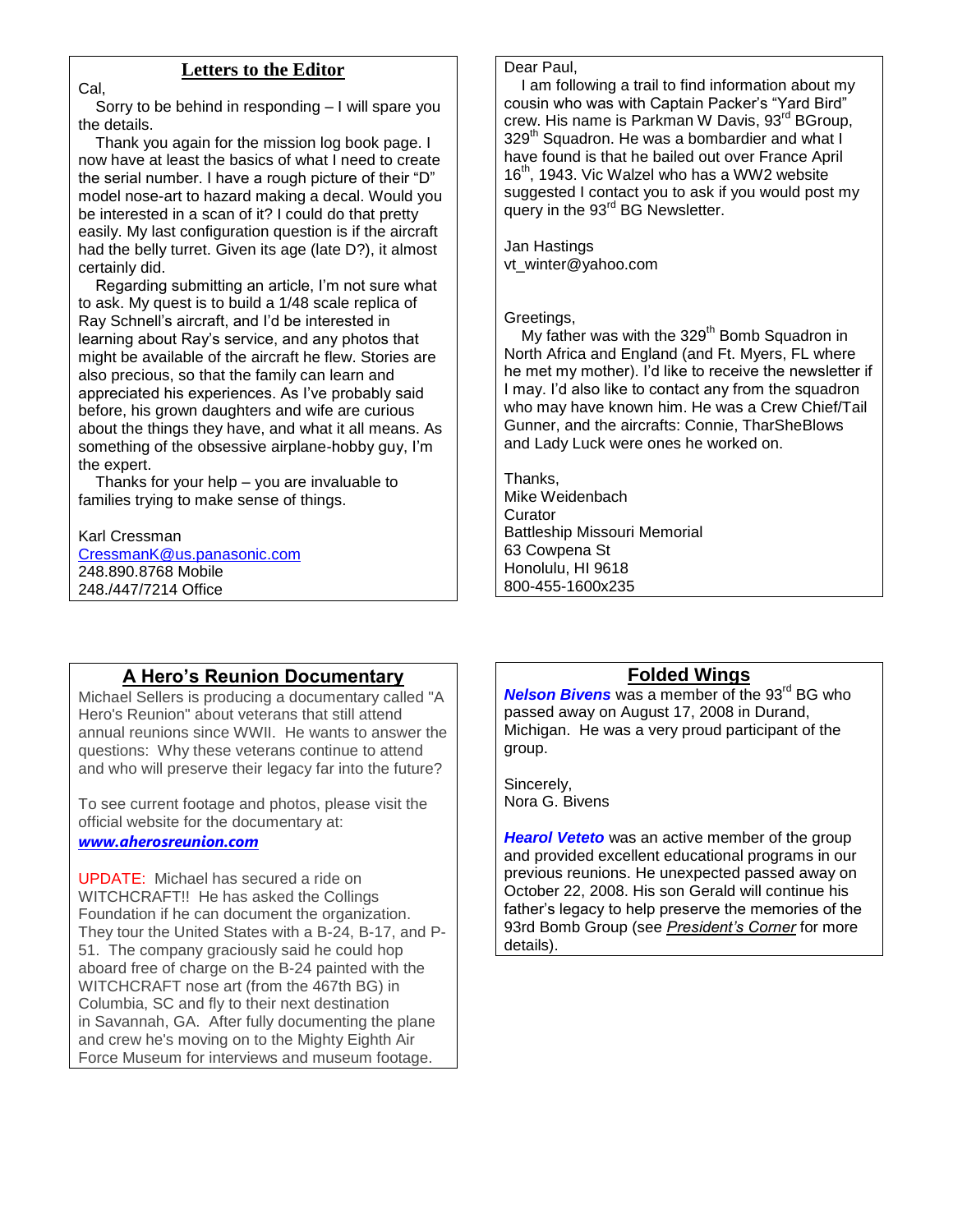### **Letters to the Editor**

 Sorry to be behind in responding – I will spare you the details.

 Thank you again for the mission log book page. I now have at least the basics of what I need to create the serial number. I have a rough picture of their "D" model nose-art to hazard making a decal. Would you be interested in a scan of it? I could do that pretty easily. My last configuration question is if the aircraft had the belly turret. Given its age (late D?), it almost certainly did.

 Regarding submitting an article, I'm not sure what to ask. My quest is to build a 1/48 scale replica of Ray Schnell's aircraft, and I'd be interested in learning about Ray's service, and any photos that might be available of the aircraft he flew. Stories are also precious, so that the family can learn and appreciated his experiences. As I've probably said before, his grown daughters and wife are curious about the things they have, and what it all means. As something of the obsessive airplane-hobby guy, I'm the expert.

 Thanks for your help – you are invaluable to families trying to make sense of things.

#### Karl Cressman

Cal,

[CressmanK@us.panasonic.com](mailto:CressmanK@us.panasonic.com) 248.890.8768 Mobile 248./447/7214 Office

#### Dear Paul,

 I am following a trail to find information about my cousin who was with Captain Packer's "Yard Bird" crew. His name is Parkman W Davis, 93<sup>rd</sup> BGroup, 329<sup>th</sup> Squadron. He was a bombardier and what I have found is that he bailed out over France April 16<sup>th</sup>, 1943. Vic Walzel who has a WW2 website suggested I contact you to ask if you would post my query in the 93<sup>rd</sup> BG Newsletter.

Jan Hastings vt\_winter@yahoo.com

#### Greetings,

My father was with the 329<sup>th</sup> Bomb Squadron in North Africa and England (and Ft. Myers, FL where he met my mother). I'd like to receive the newsletter if I may. I'd also like to contact any from the squadron who may have known him. He was a Crew Chief/Tail Gunner, and the aircrafts: Connie, TharSheBlows and Lady Luck were ones he worked on.

Thanks, Mike Weidenbach **Curator** Battleship Missouri Memorial 63 Cowpena St Honolulu, HI 9618 800-455-1600x235

# **A Hero's Reunion Documentary**

Michael Sellers is producing a documentary called "A Hero's Reunion" about veterans that still attend annual reunions since WWII. He wants to answer the questions: Why these veterans continue to attend and who will preserve their legacy far into the future?

To see current footage and photos, please visit the official website for the documentary at:

#### *[www.aherosreunion.com](http://www.aherosreunion.com/)*

UPDATE: Michael has secured a ride on WITCHCRAFT!! He has asked the Collings Foundation if he can document the organization. They tour the United States with a B-24, B-17, and P-51. The company graciously said he could hop aboard free of charge on the B-24 painted with the WITCHCRAFT nose art (from the 467th BG) in Columbia, SC and fly to their next destination in Savannah, GA. After fully documenting the plane and crew he's moving on to the Mighty Eighth Air Force Museum for interviews and museum footage.

### **Folded Wings**

**Nelson Bivens** was a member of the 93<sup>rd</sup> BG who passed away on August 17, 2008 in Durand, Michigan. He was a very proud participant of the group.

Sincerely, Nora G. Bivens

**Hearol Veteto** was an active member of the group and provided excellent educational programs in our previous reunions. He unexpected passed away on October 22, 2008. His son Gerald will continue his father's legacy to help preserve the memories of the 93rd Bomb Group (see *President's Corner* for more details).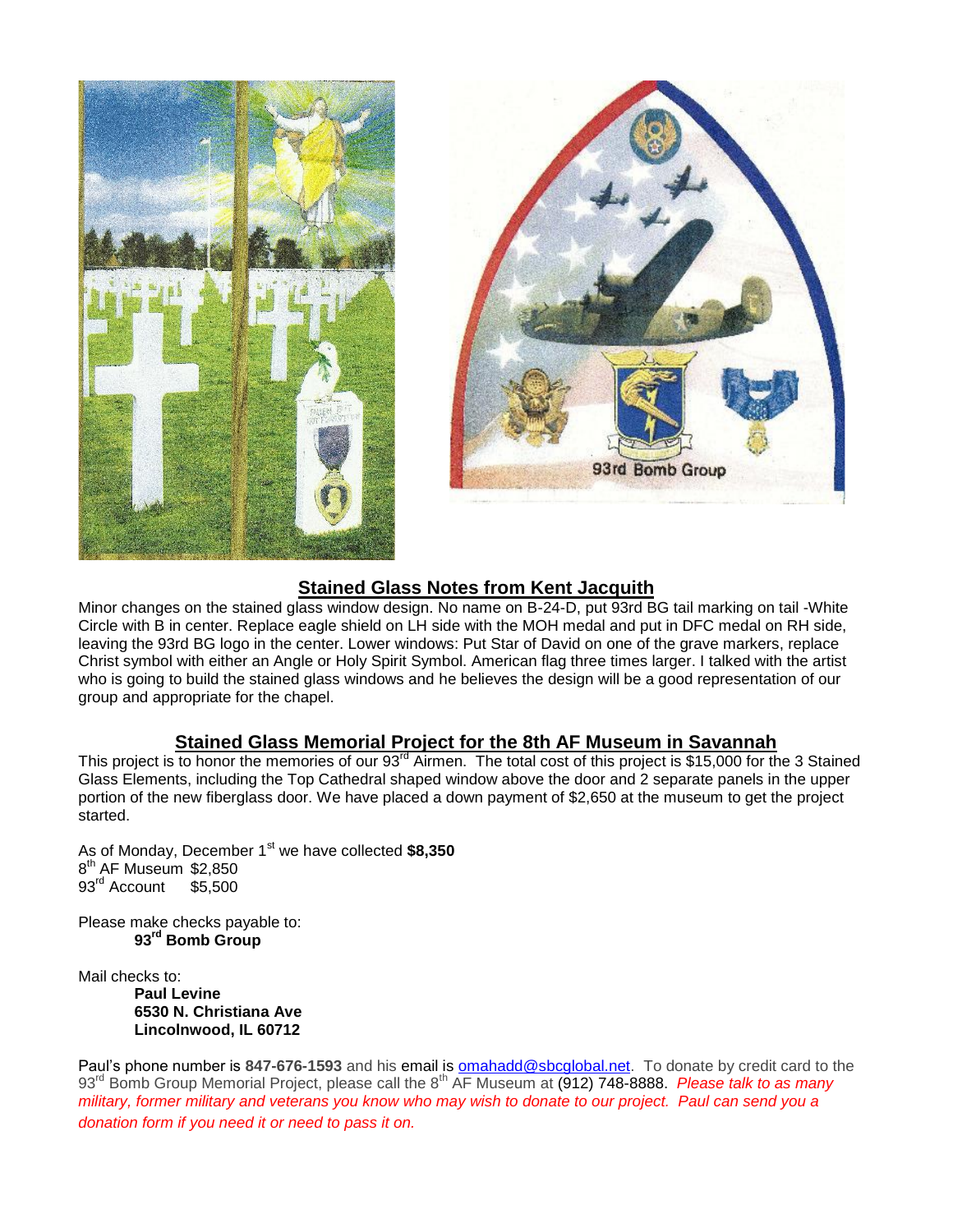



# **Stained Glass Notes from Kent Jacquith**

Minor changes on the stained glass window design. No name on B-24-D, put 93rd BG tail marking on tail -White Circle with B in center. Replace eagle shield on LH side with the MOH medal and put in DFC medal on RH side, leaving the 93rd BG logo in the center. Lower windows: Put Star of David on one of the grave markers, replace Christ symbol with either an Angle or Holy Spirit Symbol. American flag three times larger. I talked with the artist who is going to build the stained glass windows and he believes the design will be a good representation of our group and appropriate for the chapel.

# **Stained Glass Memorial Project for the 8th AF Museum in Savannah**

This project is to honor the memories of our 93<sup>rd</sup> Airmen. The total cost of this project is \$15,000 for the 3 Stained Glass Elements, including the Top Cathedral shaped window above the door and 2 separate panels in the upper portion of the new fiberglass door. We have placed a down payment of \$2,650 at the museum to get the project started.

As of Monday, December 1<sup>st</sup> we have collected \$8.350 8<sup>th</sup> AF Museum \$2,850 93<sup>rd</sup> Account \$5,500

Please make checks payable to: **93rd Bomb Group**

Mail checks to: **Paul Levine 6530 N. Christiana Ave Lincolnwood, IL 60712**

Paul's phone number is 847-676-1593 and his email is **omahadd@sbcglobal.net**. To donate by credit card to the 93<sup>rd</sup> Bomb Group Memorial Project, please call the 8<sup>th</sup> AF Museum at (912) 748-8888. *Please talk to as many military, former military and veterans you know who may wish to donate to our project. Paul can send you a donation form if you need it or need to pass it on.*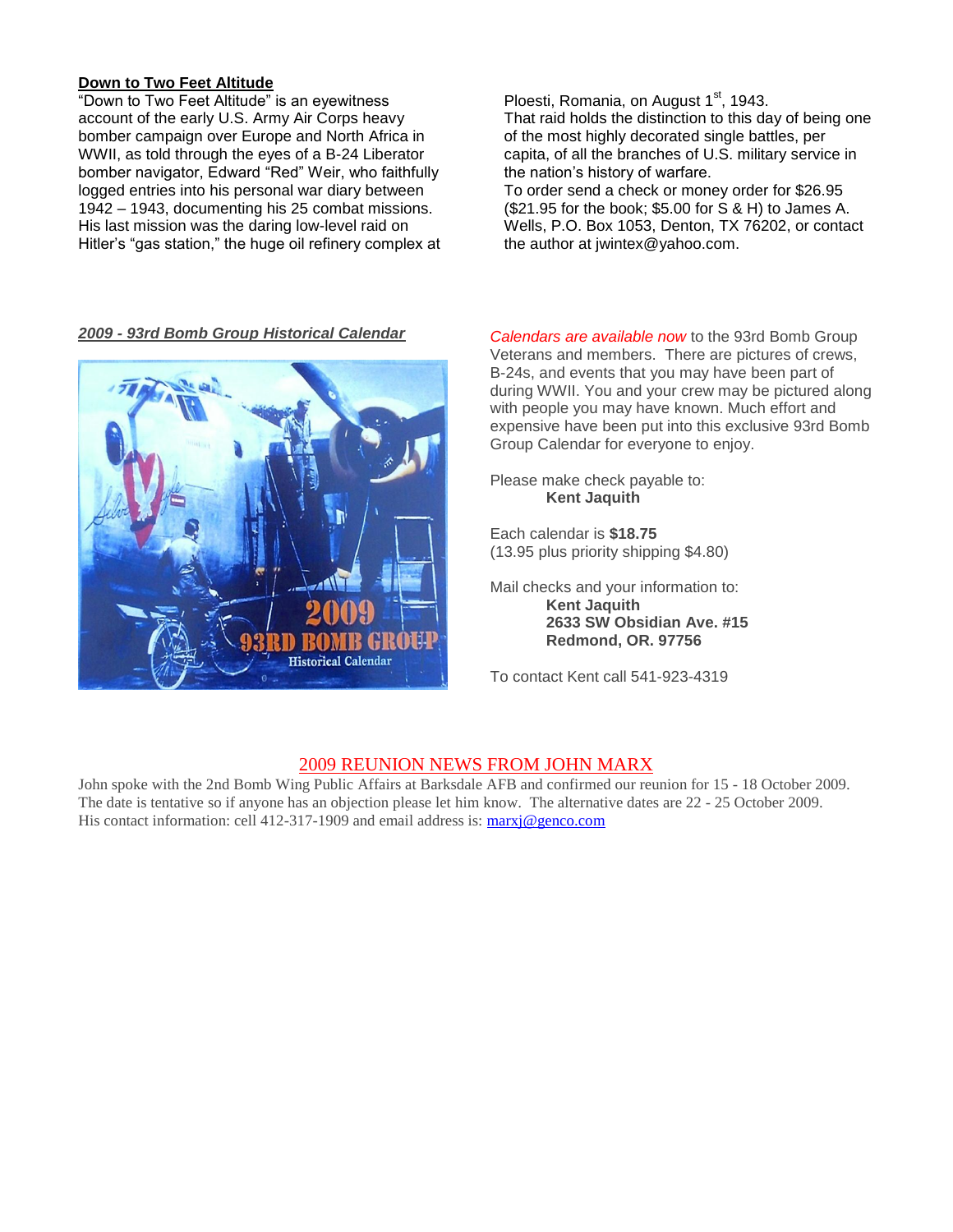#### **Down to Two Feet Altitude**

"Down to Two Feet Altitude" is an eyewitness account of the early U.S. Army Air Corps heavy bomber campaign over Europe and North Africa in WWII, as told through the eyes of a B-24 Liberator bomber navigator, Edward "Red" Weir, who faithfully logged entries into his personal war diary between 1942 – 1943, documenting his 25 combat missions. His last mission was the daring low-level raid on Hitler's "gas station," the huge oil refinery complex at



Ploesti, Romania, on August  $1<sup>st</sup>$ , 1943. That raid holds the distinction to this day of being one of the most highly decorated single battles, per capita, of all the branches of U.S. military service in the nation's history of warfare.

To order send a check or money order for \$26.95 (\$21.95 for the book; \$5.00 for S & H) to James A. Wells, P.O. Box 1053, Denton, TX 76202, or contact the author at jwintex@yahoo.com.

*2009 - 93rd Bomb Group Historical Calendar Calendars are available now* to the 93rd Bomb Group Veterans and members. There are pictures of crews, B-24s, and events that you may have been part of during WWII. You and your crew may be pictured along with people you may have known. Much effort and expensive have been put into this exclusive 93rd Bomb Group Calendar for everyone to enjoy.

> Please make check payable to: **Kent Jaquith**

Each calendar is **\$18.75** (13.95 plus priority shipping \$4.80)

Mail checks and your information to: **Kent Jaquith 2633 SW Obsidian Ave. #15 Redmond, OR. 97756**

To contact Kent call 541-923-4319

#### 2009 REUNION NEWS FROM JOHN MARX

John spoke with the 2nd Bomb Wing Public Affairs at Barksdale AFB and confirmed our reunion for 15 - 18 October 2009. The date is tentative so if anyone has an objection please let him know. The alternative dates are 22 - 25 October 2009. His contact information: cell 412-317-1909 and email address is: [marxj@genco.com](mailto:marxj@genco.com)